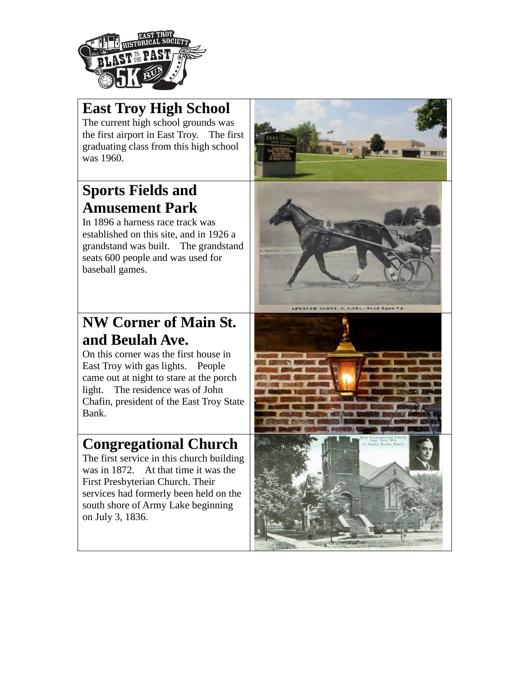

### **East Troy High School**

The current high school grounds was the first airport in East Troy. The first graduating class from this high school was 1960.

#### **Sports Fields and Amusement Park**

In 1896 a harness race track was established on this site, and in 1926 a grandstand was built. The grandstand seats 600 people and was used for baseball games.

### **NW Corner of Main St. and Beulah Ave.**

On this corner was the first house in East Troy with gas lights. People came out at night to stare at the porch light. The residence was of John Chafin, president of the East Troy State Bank.

#### **Congregational Church**

The first service in this church building was in 1872. At that time it was the First Presbyterian Church. Their services had formerly been held on the south shore of Army Lake beginning on July 3, 1836.





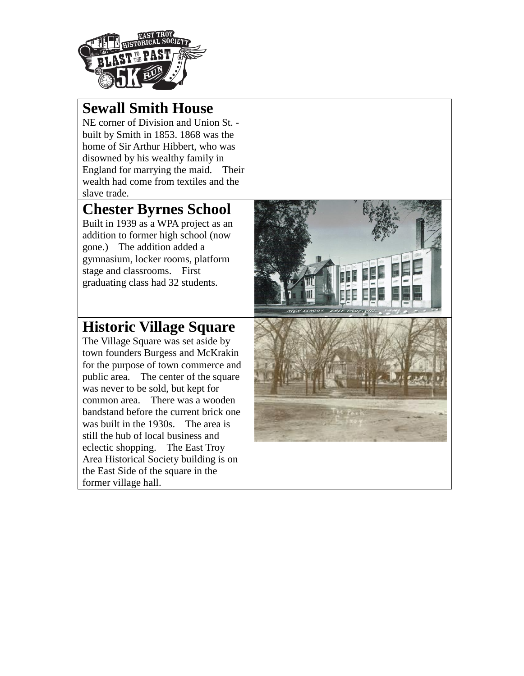

#### **Sewall Smith House**

NE corner of Division and Union St. built by Smith in 1853. 1868 was the home of Sir Arthur Hibbert, who was disowned by his wealthy family in England for marrying the maid. Their wealth had come from textiles and the slave trade.

### **Chester Byrnes School**

Built in 1939 as a WPA project as an addition to former high school (now gone.) The addition added a gymnasium, locker rooms, platform stage and classrooms. First graduating class had 32 students.

### **Historic Village Square**

The Village Square was set aside by town founders Burgess and McKrakin for the purpose of town commerce and public area. The center of the square was never to be sold, but kept for common area. There was a wooden bandstand before the current brick one was built in the 1930s. The area is still the hub of local business and eclectic shopping. The East Troy Area Historical Society building is on the East Side of the square in the former village hall.

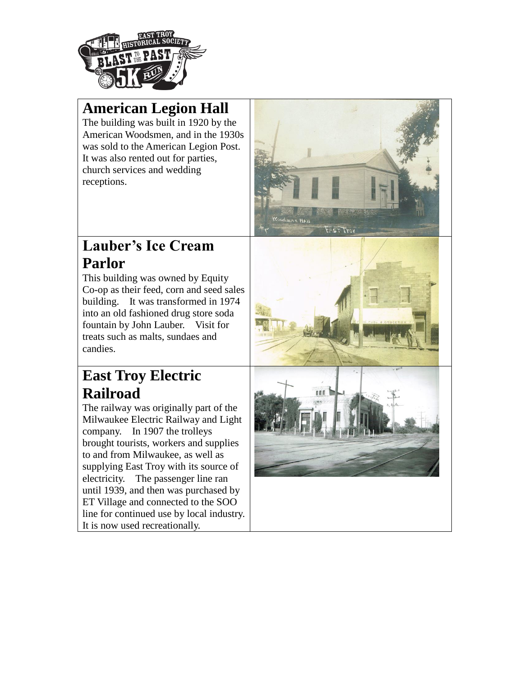

### **American Legion Hall**

The building was built in 1920 by the American Woodsmen, and in the 1930s was sold to the American Legion Post. It was also rented out for parties, church services and wedding receptions.



#### **Lauber's Ice Cream Parlor**

This building was owned by Equity Co-op as their feed, corn and seed sales building. It was transformed in 1974 into an old fashioned drug store soda fountain by John Lauber. Visit for treats such as malts, sundaes and candies.

# **East Troy Electric Railroad**

The railway was originally part of the Milwaukee Electric Railway and Light company. In 1907 the trolleys brought tourists, workers and supplies to and from Milwaukee, as well as supplying East Troy with its source of electricity. The passenger line ran until 1939, and then was purchased by ET Village and connected to the SOO line for continued use by local industry. It is now used recreationally.